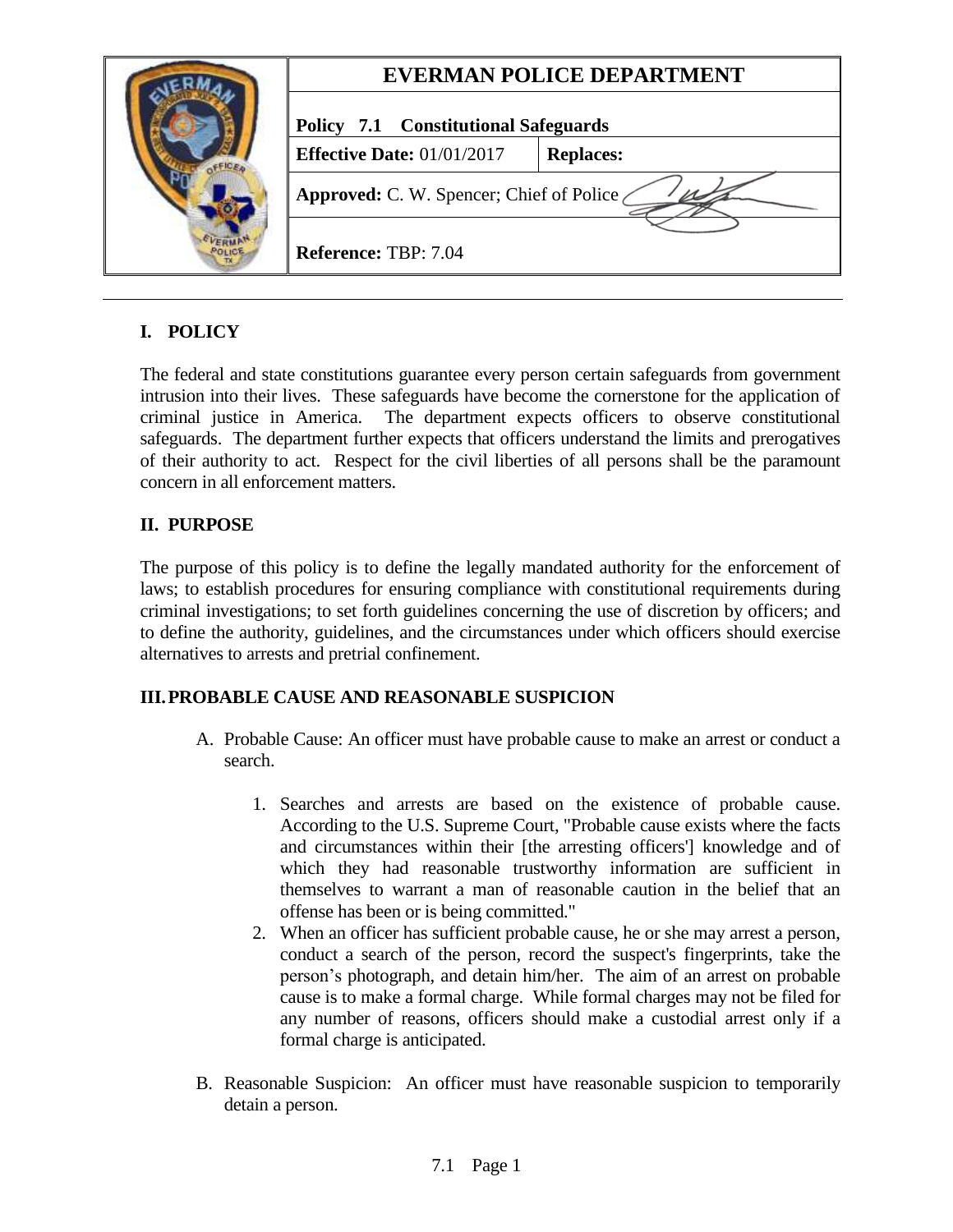|  | <b>EVERMAN POLICE DEPARTMENT</b>            |                  |
|--|---------------------------------------------|------------------|
|  | <b>Policy 7.1 Constitutional Safeguards</b> |                  |
|  | <b>Effective Date: 01/01/2017</b>           | <b>Replaces:</b> |
|  | Approved: C. W. Spencer; Chief of Police    |                  |
|  | <b>Reference: TBP: 7.04</b>                 |                  |

# **I. POLICY**

The federal and state constitutions guarantee every person certain safeguards from government intrusion into their lives. These safeguards have become the cornerstone for the application of criminal justice in America. The department expects officers to observe constitutional safeguards. The department further expects that officers understand the limits and prerogatives of their authority to act. Respect for the civil liberties of all persons shall be the paramount concern in all enforcement matters.

## **II. PURPOSE**

The purpose of this policy is to define the legally mandated authority for the enforcement of laws; to establish procedures for ensuring compliance with constitutional requirements during criminal investigations; to set forth guidelines concerning the use of discretion by officers; and to define the authority, guidelines, and the circumstances under which officers should exercise alternatives to arrests and pretrial confinement.

# **III.PROBABLE CAUSE AND REASONABLE SUSPICION**

- A. Probable Cause: An officer must have probable cause to make an arrest or conduct a search.
	- 1. Searches and arrests are based on the existence of probable cause. According to the U.S. Supreme Court, "Probable cause exists where the facts and circumstances within their [the arresting officers'] knowledge and of which they had reasonable trustworthy information are sufficient in themselves to warrant a man of reasonable caution in the belief that an offense has been or is being committed."
	- 2. When an officer has sufficient probable cause, he or she may arrest a person, conduct a search of the person, record the suspect's fingerprints, take the person's photograph, and detain him/her. The aim of an arrest on probable cause is to make a formal charge. While formal charges may not be filed for any number of reasons, officers should make a custodial arrest only if a formal charge is anticipated.
- B. Reasonable Suspicion: An officer must have reasonable suspicion to temporarily detain a person.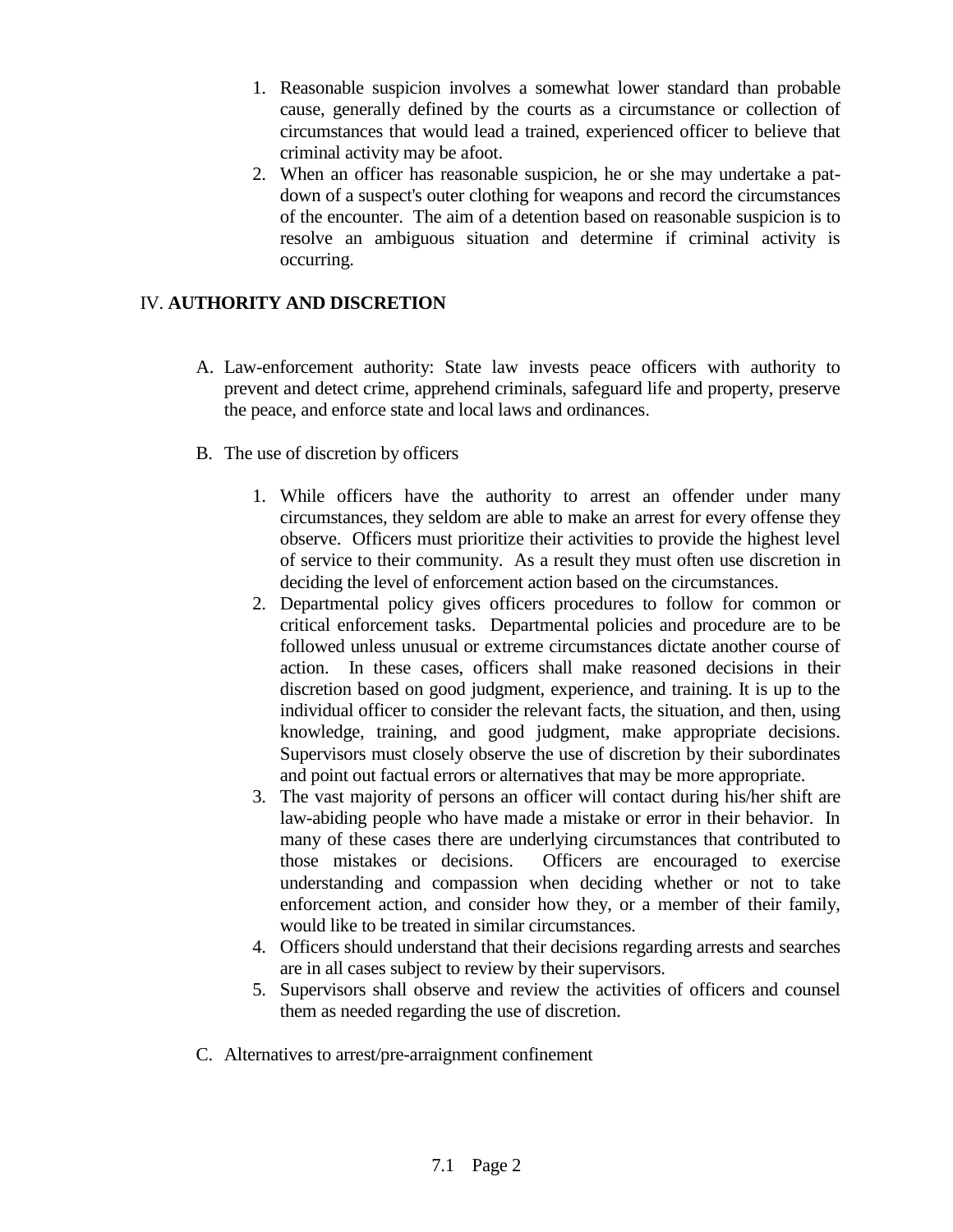- 1. Reasonable suspicion involves a somewhat lower standard than probable cause, generally defined by the courts as a circumstance or collection of circumstances that would lead a trained, experienced officer to believe that criminal activity may be afoot.
- 2. When an officer has reasonable suspicion, he or she may undertake a patdown of a suspect's outer clothing for weapons and record the circumstances of the encounter. The aim of a detention based on reasonable suspicion is to resolve an ambiguous situation and determine if criminal activity is occurring.

## IV. **AUTHORITY AND DISCRETION**

- A. Law-enforcement authority: State law invests peace officers with authority to prevent and detect crime, apprehend criminals, safeguard life and property, preserve the peace, and enforce state and local laws and ordinances.
- B. The use of discretion by officers
	- 1. While officers have the authority to arrest an offender under many circumstances, they seldom are able to make an arrest for every offense they observe. Officers must prioritize their activities to provide the highest level of service to their community. As a result they must often use discretion in deciding the level of enforcement action based on the circumstances.
	- 2. Departmental policy gives officers procedures to follow for common or critical enforcement tasks. Departmental policies and procedure are to be followed unless unusual or extreme circumstances dictate another course of action. In these cases, officers shall make reasoned decisions in their discretion based on good judgment, experience, and training. It is up to the individual officer to consider the relevant facts, the situation, and then, using knowledge, training, and good judgment, make appropriate decisions. Supervisors must closely observe the use of discretion by their subordinates and point out factual errors or alternatives that may be more appropriate.
	- 3. The vast majority of persons an officer will contact during his/her shift are law-abiding people who have made a mistake or error in their behavior. In many of these cases there are underlying circumstances that contributed to those mistakes or decisions. Officers are encouraged to exercise understanding and compassion when deciding whether or not to take enforcement action, and consider how they, or a member of their family, would like to be treated in similar circumstances.
	- 4. Officers should understand that their decisions regarding arrests and searches are in all cases subject to review by their supervisors.
	- 5. Supervisors shall observe and review the activities of officers and counsel them as needed regarding the use of discretion.
- C. Alternatives to arrest/pre-arraignment confinement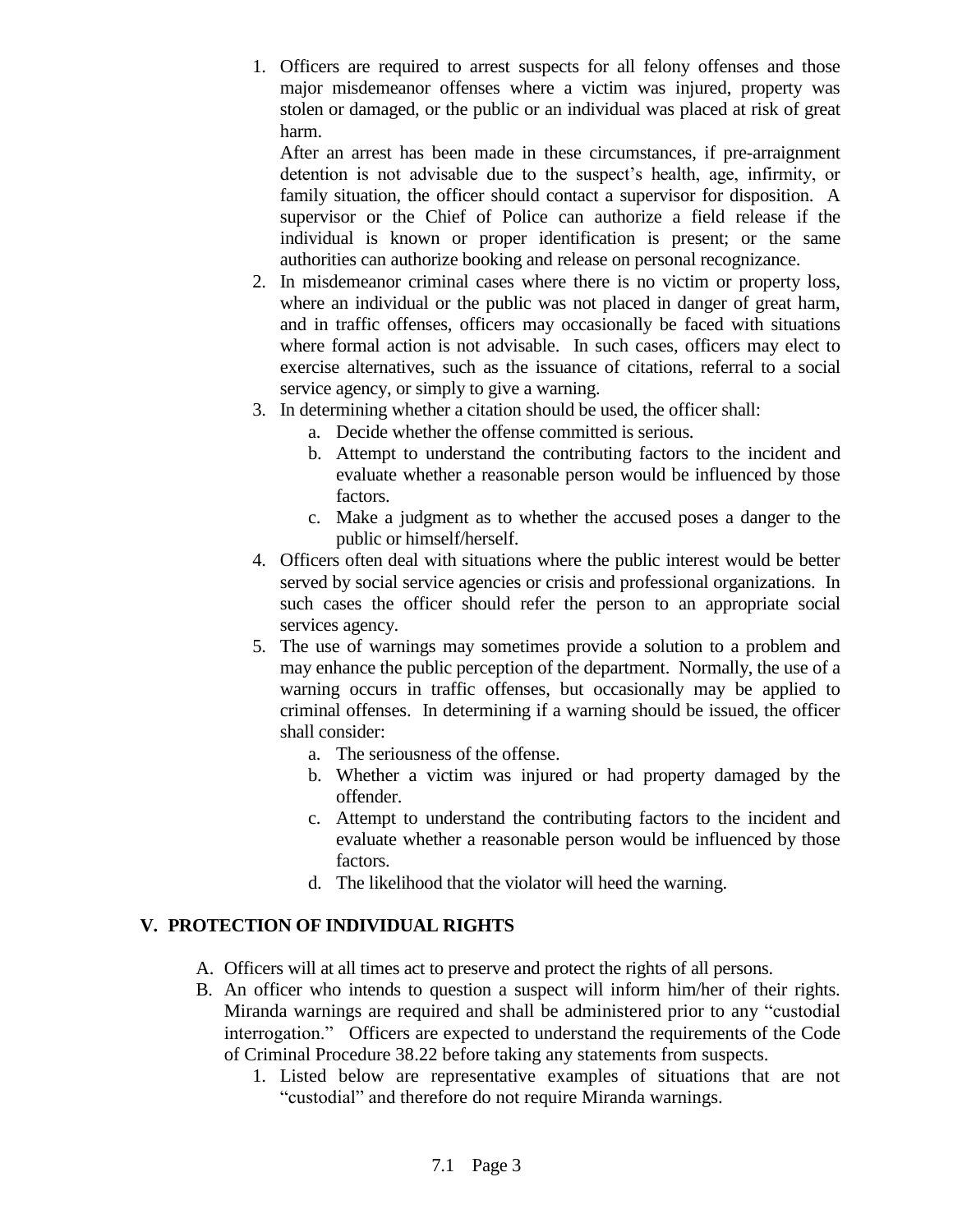1. Officers are required to arrest suspects for all felony offenses and those major misdemeanor offenses where a victim was injured, property was stolen or damaged, or the public or an individual was placed at risk of great harm.

After an arrest has been made in these circumstances, if pre-arraignment detention is not advisable due to the suspect's health, age, infirmity, or family situation, the officer should contact a supervisor for disposition. A supervisor or the Chief of Police can authorize a field release if the individual is known or proper identification is present; or the same authorities can authorize booking and release on personal recognizance.

- 2. In misdemeanor criminal cases where there is no victim or property loss, where an individual or the public was not placed in danger of great harm, and in traffic offenses, officers may occasionally be faced with situations where formal action is not advisable. In such cases, officers may elect to exercise alternatives, such as the issuance of citations, referral to a social service agency, or simply to give a warning.
- 3. In determining whether a citation should be used, the officer shall:
	- a. Decide whether the offense committed is serious.
	- b. Attempt to understand the contributing factors to the incident and evaluate whether a reasonable person would be influenced by those factors.
	- c. Make a judgment as to whether the accused poses a danger to the public or himself/herself.
- 4. Officers often deal with situations where the public interest would be better served by social service agencies or crisis and professional organizations. In such cases the officer should refer the person to an appropriate social services agency.
- 5. The use of warnings may sometimes provide a solution to a problem and may enhance the public perception of the department. Normally, the use of a warning occurs in traffic offenses, but occasionally may be applied to criminal offenses. In determining if a warning should be issued, the officer shall consider:
	- a. The seriousness of the offense.
	- b. Whether a victim was injured or had property damaged by the offender.
	- c. Attempt to understand the contributing factors to the incident and evaluate whether a reasonable person would be influenced by those factors.
	- d. The likelihood that the violator will heed the warning.

# **V. PROTECTION OF INDIVIDUAL RIGHTS**

- A. Officers will at all times act to preserve and protect the rights of all persons.
- B. An officer who intends to question a suspect will inform him/her of their rights. Miranda warnings are required and shall be administered prior to any "custodial interrogation." Officers are expected to understand the requirements of the Code of Criminal Procedure 38.22 before taking any statements from suspects.
	- 1. Listed below are representative examples of situations that are not "custodial" and therefore do not require Miranda warnings.